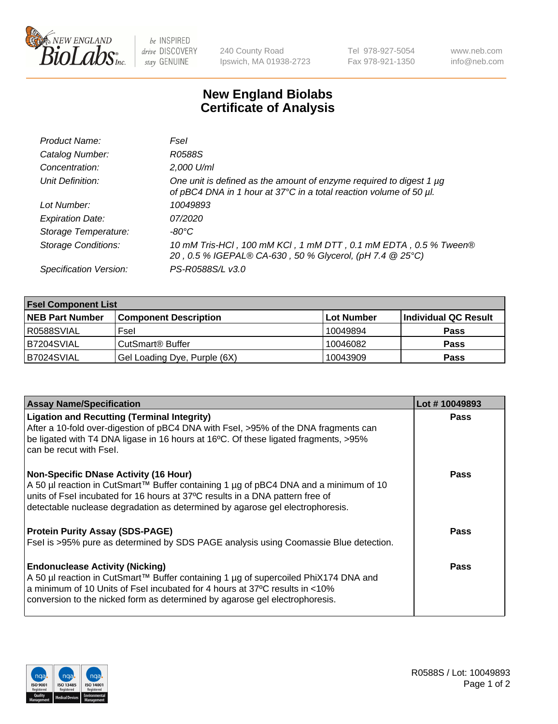

be INSPIRED drive DISCOVERY stay GENUINE

240 County Road Ipswich, MA 01938-2723 Tel 978-927-5054 Fax 978-921-1350

www.neb.com info@neb.com

## **New England Biolabs Certificate of Analysis**

| Product Name:              | Fsel                                                                                                                                           |
|----------------------------|------------------------------------------------------------------------------------------------------------------------------------------------|
| Catalog Number:            | R0588S                                                                                                                                         |
| Concentration:             | 2,000 U/ml                                                                                                                                     |
| Unit Definition:           | One unit is defined as the amount of enzyme required to digest 1 $\mu$ g<br>of pBC4 DNA in 1 hour at 37°C in a total reaction volume of 50 µl. |
| Lot Number:                | 10049893                                                                                                                                       |
| <b>Expiration Date:</b>    | 07/2020                                                                                                                                        |
| Storage Temperature:       | -80°C                                                                                                                                          |
| <b>Storage Conditions:</b> | 10 mM Tris-HCl, 100 mM KCl, 1 mM DTT, 0.1 mM EDTA, 0.5 % Tween®<br>20, 0.5 % IGEPAL® CA-630, 50 % Glycerol, (pH 7.4 @ 25°C)                    |
| Specification Version:     | PS-R0588S/L v3.0                                                                                                                               |

| <b>Fsel Component List</b> |                              |                   |                      |  |  |
|----------------------------|------------------------------|-------------------|----------------------|--|--|
| <b>NEB Part Number</b>     | <b>Component Description</b> | <b>Lot Number</b> | Individual QC Result |  |  |
| R0588SVIAL                 | Fsel                         | 10049894          | <b>Pass</b>          |  |  |
| IB7204SVIAL                | CutSmart <sup>®</sup> Buffer | 10046082          | <b>Pass</b>          |  |  |
| B7024SVIAL                 | Gel Loading Dye, Purple (6X) | 10043909          | <b>Pass</b>          |  |  |

| <b>Assay Name/Specification</b>                                                                                                                                                                                                                                                                        | Lot #10049893 |
|--------------------------------------------------------------------------------------------------------------------------------------------------------------------------------------------------------------------------------------------------------------------------------------------------------|---------------|
| <b>Ligation and Recutting (Terminal Integrity)</b><br>After a 10-fold over-digestion of pBC4 DNA with Fsel, >95% of the DNA fragments can                                                                                                                                                              | <b>Pass</b>   |
| be ligated with T4 DNA ligase in 16 hours at 16°C. Of these ligated fragments, >95%<br>can be recut with Fsel.                                                                                                                                                                                         |               |
| <b>Non-Specific DNase Activity (16 Hour)</b><br>A 50 µl reaction in CutSmart™ Buffer containing 1 µg of pBC4 DNA and a minimum of 10<br>units of Fsel incubated for 16 hours at 37°C results in a DNA pattern free of<br>detectable nuclease degradation as determined by agarose gel electrophoresis. | <b>Pass</b>   |
| <b>Protein Purity Assay (SDS-PAGE)</b><br>Fsel is >95% pure as determined by SDS PAGE analysis using Coomassie Blue detection.                                                                                                                                                                         | Pass          |
| <b>Endonuclease Activity (Nicking)</b><br>A 50 µl reaction in CutSmart™ Buffer containing 1 µg of supercoiled PhiX174 DNA and<br>a minimum of 10 Units of Fsel incubated for 4 hours at 37°C results in <10%<br>conversion to the nicked form as determined by agarose gel electrophoresis.            | Pass          |